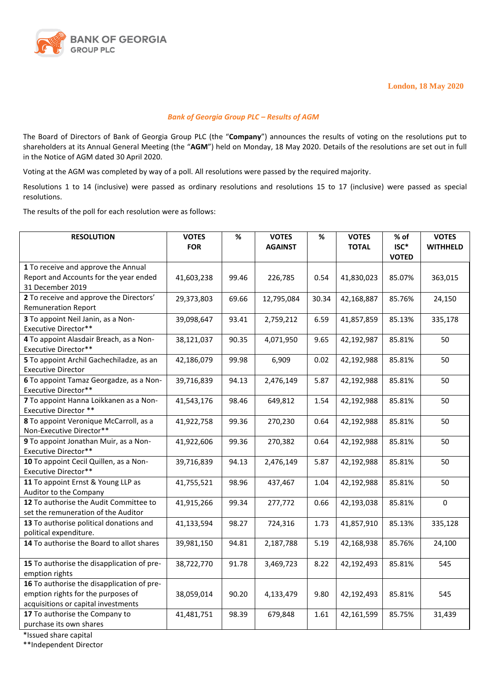

## *Bank of Georgia Group PLC – Results of AGM*

The Board of Directors of Bank of Georgia Group PLC (the "**Company**") announces the results of voting on the resolutions put to shareholders at its Annual General Meeting (the "**AGM**") held on Monday, 18 May 2020. Details of the resolutions are set out in full in the Notice of AGM dated 30 April 2020.

Voting at the AGM was completed by way of a poll. All resolutions were passed by the required majority.

Resolutions 1 to 14 (inclusive) were passed as ordinary resolutions and resolutions 15 to 17 (inclusive) were passed as special resolutions.

The results of the poll for each resolution were as follows:

| <b>RESOLUTION</b>                                                                                                       | <b>VOTES</b> | $\%$  | <b>VOTES</b>   | $\%$  | <b>VOTES</b> | % of<br>ISC* | <b>VOTES</b>    |
|-------------------------------------------------------------------------------------------------------------------------|--------------|-------|----------------|-------|--------------|--------------|-----------------|
|                                                                                                                         | <b>FOR</b>   |       | <b>AGAINST</b> |       | <b>TOTAL</b> | <b>VOTED</b> | <b>WITHHELD</b> |
| 1 To receive and approve the Annual<br>Report and Accounts for the year ended<br>31 December 2019                       | 41,603,238   | 99.46 | 226,785        | 0.54  | 41,830,023   | 85.07%       | 363,015         |
| 2 To receive and approve the Directors'<br><b>Remuneration Report</b>                                                   | 29,373,803   | 69.66 | 12,795,084     | 30.34 | 42,168,887   | 85.76%       | 24,150          |
| 3 To appoint Neil Janin, as a Non-<br>Executive Director**                                                              | 39,098,647   | 93.41 | 2,759,212      | 6.59  | 41,857,859   | 85.13%       | 335,178         |
| 4 To appoint Alasdair Breach, as a Non-<br>Executive Director**                                                         | 38,121,037   | 90.35 | 4,071,950      | 9.65  | 42,192,987   | 85.81%       | 50              |
| 5 To appoint Archil Gachechiladze, as an<br><b>Executive Director</b>                                                   | 42,186,079   | 99.98 | 6,909          | 0.02  | 42,192,988   | 85.81%       | 50              |
| 6 To appoint Tamaz Georgadze, as a Non-<br>Executive Director**                                                         | 39,716,839   | 94.13 | 2,476,149      | 5.87  | 42,192,988   | 85.81%       | 50              |
| 7 To appoint Hanna Loikkanen as a Non-<br>Executive Director **                                                         | 41,543,176   | 98.46 | 649,812        | 1.54  | 42,192,988   | 85.81%       | 50              |
| 8 To appoint Veronique McCarroll, as a<br>Non-Executive Director**                                                      | 41,922,758   | 99.36 | 270,230        | 0.64  | 42,192,988   | 85.81%       | 50              |
| 9 To appoint Jonathan Muir, as a Non-<br><b>Executive Director**</b>                                                    | 41,922,606   | 99.36 | 270,382        | 0.64  | 42,192,988   | 85.81%       | 50              |
| 10 To appoint Cecil Quillen, as a Non-<br>Executive Director**                                                          | 39,716,839   | 94.13 | 2,476,149      | 5.87  | 42,192,988   | 85.81%       | 50              |
| 11 To appoint Ernst & Young LLP as<br>Auditor to the Company                                                            | 41,755,521   | 98.96 | 437,467        | 1.04  | 42,192,988   | 85.81%       | 50              |
| 12 To authorise the Audit Committee to<br>set the remuneration of the Auditor                                           | 41,915,266   | 99.34 | 277,772        | 0.66  | 42,193,038   | 85.81%       | $\Omega$        |
| 13 To authorise political donations and<br>political expenditure.                                                       | 41,133,594   | 98.27 | 724,316        | 1.73  | 41,857,910   | 85.13%       | 335,128         |
| 14 To authorise the Board to allot shares                                                                               | 39,981,150   | 94.81 | 2,187,788      | 5.19  | 42,168,938   | 85.76%       | 24,100          |
| 15 To authorise the disapplication of pre-<br>emption rights                                                            | 38,722,770   | 91.78 | 3,469,723      | 8.22  | 42,192,493   | 85.81%       | 545             |
| 16 To authorise the disapplication of pre-<br>emption rights for the purposes of<br>acquisitions or capital investments | 38,059,014   | 90.20 | 4,133,479      | 9.80  | 42,192,493   | 85.81%       | 545             |
| 17 To authorise the Company to<br>purchase its own shares                                                               | 41,481,751   | 98.39 | 679,848        | 1.61  | 42,161,599   | 85.75%       | 31,439          |

\*Issued share capital

\*\*Independent Director